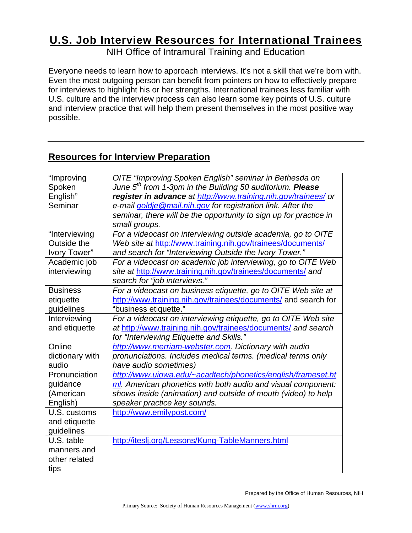# **U.S. Job Interview Resources for International Trainees**

NIH Office of Intramural Training and Education

Everyone needs to learn how to approach interviews. It's not a skill that we're born with. Even the most outgoing person can benefit from pointers on how to effectively prepare for interviews to highlight his or her strengths. International trainees less familiar with U.S. culture and the interview process can also learn some key points of U.S. culture and interview practice that will help them present themselves in the most positive way possible.

## **Resources for Interview Preparation**

| "Improving      | OITE "Improving Spoken English" seminar in Bethesda on                |
|-----------------|-----------------------------------------------------------------------|
| Spoken          | June 5 <sup>th</sup> from 1-3pm in the Building 50 auditorium. Please |
| English"        | register in advance at http://www.training.nih.gov/trainees/ or       |
| Seminar         | e-mail goldje @mail.nih.gov for registration link. After the          |
|                 | seminar, there will be the opportunity to sign up for practice in     |
|                 | small groups.                                                         |
| "Interviewing   | For a videocast on interviewing outside academia, go to OITE          |
| Outside the     | Web site at http://www.training.nih.gov/trainees/documents/           |
| Ivory Tower"    | and search for "Interviewing Outside the Ivory Tower."                |
| Academic job    | For a videocast on academic job interviewing, go to OITE Web          |
| interviewing    | site at http://www.training.nih.gov/trainees/documents/ and           |
|                 | search for "job interviews."                                          |
| <b>Business</b> | For a videocast on business etiquette, go to OITE Web site at         |
| etiquette       | http://www.training.nih.gov/trainees/documents/ and search for        |
| guidelines      | "business etiquette."                                                 |
| Interviewing    | For a videocast on interviewing etiquette, go to OITE Web site        |
| and etiquette   | at http://www.training.nih.gov/trainees/documents/ and search         |
|                 | for "Interviewing Etiquette and Skills."                              |
| Online          | http://www.merriam-webster.com. Dictionary with audio                 |
| dictionary with | pronunciations. Includes medical terms. (medical terms only           |
| audio           | have audio sometimes)                                                 |
| Pronunciation   | http://www.uiowa.edu/~acadtech/phonetics/english/frameset.ht          |
| guidance        | ml. American phonetics with both audio and visual component:          |
| (American       | shows inside (animation) and outside of mouth (video) to help         |
| English)        | speaker practice key sounds.                                          |
| U.S. customs    | http://www.emilypost.com/                                             |
| and etiquette   |                                                                       |
| guidelines      |                                                                       |
| U.S. table      | http://iteslj.org/Lessons/Kung-TableManners.html                      |
| manners and     |                                                                       |
| other related   |                                                                       |
| tips            |                                                                       |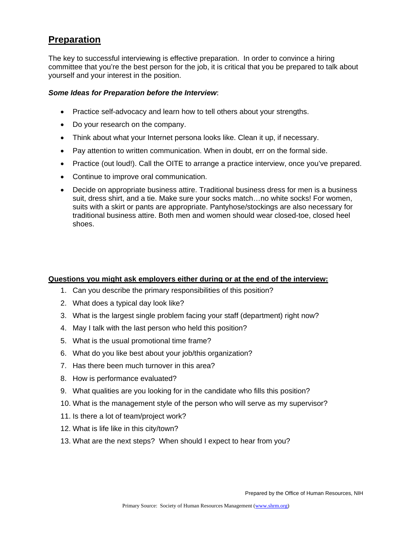## **Preparation**

The key to successful interviewing is effective preparation. In order to convince a hiring committee that you're the best person for the job, it is critical that you be prepared to talk about yourself and your interest in the position.

#### *Some Ideas for Preparation before the Interview*:

- Practice self-advocacy and learn how to tell others about your strengths.
- Do your research on the company.
- Think about what your Internet persona looks like. Clean it up, if necessary.
- Pay attention to written communication. When in doubt, err on the formal side.
- Practice (out loud!). Call the OITE to arrange a practice interview, once you've prepared.
- Continue to improve oral communication.
- Decide on appropriate business attire. Traditional business dress for men is a business suit, dress shirt, and a tie. Make sure your socks match…no white socks! For women, suits with a skirt or pants are appropriate. Pantyhose/stockings are also necessary for traditional business attire. Both men and women should wear closed-toe, closed heel shoes.

#### **Questions you might ask employers either during or at the end of the interview:**

- 1. Can you describe the primary responsibilities of this position?
- 2. What does a typical day look like?
- 3. What is the largest single problem facing your staff (department) right now?
- 4. May I talk with the last person who held this position?
- 5. What is the usual promotional time frame?
- 6. What do you like best about your job/this organization?
- 7. Has there been much turnover in this area?
- 8. How is performance evaluated?
- 9. What qualities are you looking for in the candidate who fills this position?
- 10. What is the management style of the person who will serve as my supervisor?
- 11. Is there a lot of team/project work?
- 12. What is life like in this city/town?
- 13. What are the next steps? When should I expect to hear from you?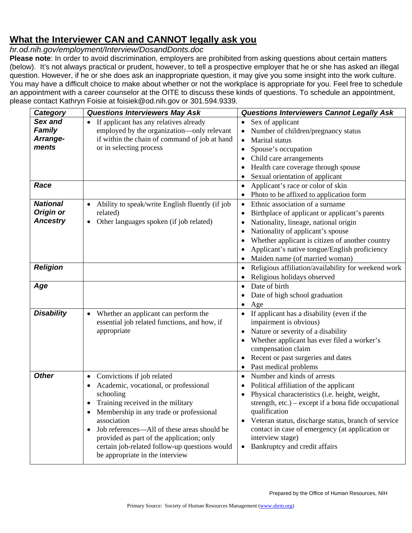# **What the Interviewer CAN and CANNOT legally ask you**

*hr.od.nih.gov/employment/Interview/DosandDonts.doc* 

**Please note**: In order to avoid discrimination, employers are prohibited from asking questions about certain matters (below). It's not always practical or prudent, however, to tell a prospective employer that he or she has asked an illegal question. However, if he or she does ask an inappropriate question, it may give you some insight into the work culture. You may have a difficult choice to make about whether or not the workplace is appropriate for you. Feel free to schedule an appointment with a career counselor at the OITE to discuss these kinds of questions. To schedule an appointment, please contact Kathryn Foisie at [foisiek@od.nih.gov](mailto:foisiek@od.nih.gov) or 301.594.9339.

| Category          | <b>Questions Interviewers May Ask</b>                                                | <b>Questions Interviewers Cannot Legally Ask</b>                                  |
|-------------------|--------------------------------------------------------------------------------------|-----------------------------------------------------------------------------------|
| Sex and<br>Family | If applicant has any relatives already<br>employed by the organization-only relevant | Sex of applicant<br>$\bullet$<br>Number of children/pregnancy status<br>$\bullet$ |
| Arrange-          | if within the chain of command of job at hand                                        | Marital status<br>$\bullet$                                                       |
| ments             | or in selecting process                                                              | Spouse's occupation<br>$\bullet$                                                  |
|                   |                                                                                      | Child care arrangements                                                           |
|                   |                                                                                      | Health care coverage through spouse                                               |
|                   |                                                                                      | Sexual orientation of applicant                                                   |
| Race              |                                                                                      | Applicant's race or color of skin<br>$\bullet$                                    |
|                   |                                                                                      | Photo to be affixed to application form<br>٠                                      |
| <b>National</b>   | Ability to speak/write English fluently (if job                                      | Ethnic association of a surname<br>$\bullet$                                      |
| Origin or         | related)                                                                             | Birthplace of applicant or applicant's parents<br>$\bullet$                       |
| <b>Ancestry</b>   | Other languages spoken (if job related)<br>$\bullet$                                 | Nationality, lineage, national origin<br>٠                                        |
|                   |                                                                                      | Nationality of applicant's spouse<br>$\bullet$                                    |
|                   |                                                                                      | Whether applicant is citizen of another country                                   |
|                   |                                                                                      | Applicant's native tongue/English proficiency                                     |
|                   |                                                                                      | Maiden name (of married woman)<br>$\bullet$                                       |
| <b>Religion</b>   |                                                                                      | Religious affiliation/availability for weekend work<br>$\bullet$                  |
|                   |                                                                                      | Religious holidays observed<br>٠                                                  |
| Age               |                                                                                      | Date of birth<br>$\bullet$                                                        |
|                   |                                                                                      | Date of high school graduation                                                    |
|                   |                                                                                      | Age<br>٠                                                                          |
| <b>Disability</b> | Whether an applicant can perform the<br>$\bullet$                                    | If applicant has a disability (even if the<br>٠                                   |
|                   | essential job related functions, and how, if                                         | impairment is obvious)                                                            |
|                   | appropriate                                                                          | Nature or severity of a disability<br>$\bullet$                                   |
|                   |                                                                                      | Whether applicant has ever filed a worker's                                       |
|                   |                                                                                      | compensation claim                                                                |
|                   |                                                                                      | Recent or past surgeries and dates<br>٠<br>Past medical problems<br>$\bullet$     |
| <b>Other</b>      | Convictions if job related<br>$\bullet$                                              | Number and kinds of arrests<br>$\bullet$                                          |
|                   | Academic, vocational, or professional                                                | Political affiliation of the applicant<br>٠                                       |
|                   | schooling                                                                            | Physical characteristics (i.e. height, weight,                                    |
|                   | Training received in the military                                                    | strength, etc.) – except if a bona fide occupational                              |
|                   | Membership in any trade or professional<br>$\bullet$                                 | qualification                                                                     |
|                   | association                                                                          | Veteran status, discharge status, branch of service                               |
|                   | Job references—All of these areas should be<br>$\bullet$                             | contact in case of emergency (at application or                                   |
|                   | provided as part of the application; only                                            | interview stage)                                                                  |
|                   | certain job-related follow-up questions would                                        | Bankruptcy and credit affairs<br>$\bullet$                                        |
|                   | be appropriate in the interview                                                      |                                                                                   |